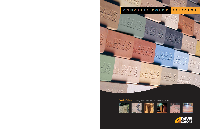### **C O N C R E T E C O L O R SELECTOR**



### **Davis Colors:** *Setting the Standard for Concrete Colors.*



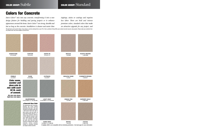# Colors for Concrete

*Davis Colors TM mix into any concrete, transforming it into a new design feature for building and paving projects or to enhance appearance around the home. Davis Colors TM are strong, durable and last as long as the concrete. Installation is cleaner and easier than*

can impact colored concrete.

*toppings, stains or coatings and requires less labor. There are bold and intense premium colors, standard colors that make an attractive upgrade for any project, and* 

This pdf color card is just for ideas. If you choose a color by viewing this on your PC or from a printout of the pdf file, your colored concrete may be a big surprise. Please make your selection from our printed color card, hard samples or job site test.



**\* Caution:** 8084 is not compatible with air-entraining admixtures. See back page for more information.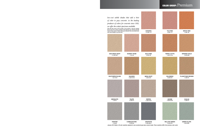## COLOR GROUP: Premium

*low-cost subtle shades that add a hint of color to gray concrete. As the leading producer of colors for concrete since 1952, we offer the widest spectrum available.*

This pdf color card is just for ideas. If you choose a color by viewing this on your PC or from a printout of the pdf file, your colored concrete may be a big surprise. Please make your selection from our printed color

**1 LB 860**



**2 LBS 8084 \*** January 2014 Notice- All color swatches adjusted to new uncolored gray base cement shade. These swatches differ from previous color cards.

**3 LBS 5376**

**3 LBS 3685**

**2 LBS 860**